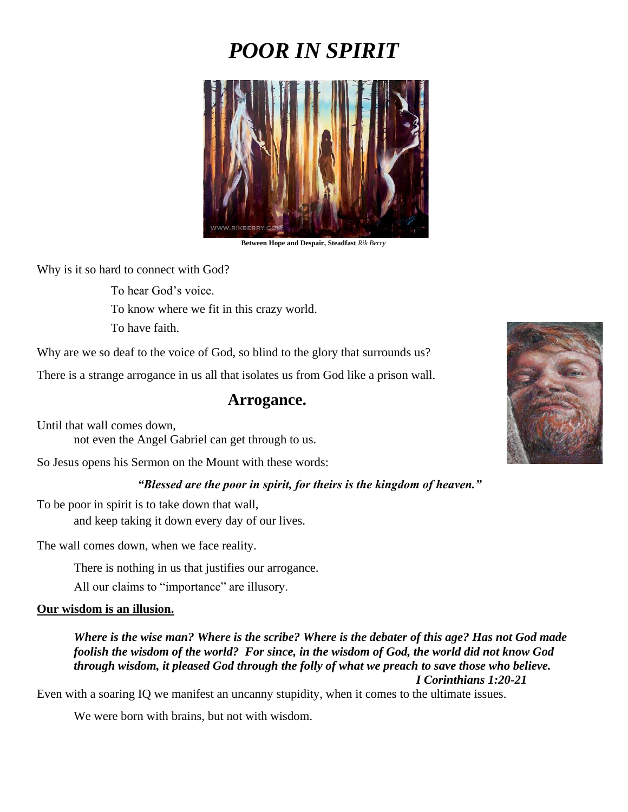# *POOR IN SPIRIT*



**Between Hope and Despair, Steadfast** *Rik Berry*

Why is it so hard to connect with God?

To hear God's voice.

To know where we fit in this crazy world.

To have faith.

Why are we so deaf to the voice of God, so blind to the glory that surrounds us?

There is a strange arrogance in us all that isolates us from God like a prison wall.

#### **Arrogance.**

Until that wall comes down, not even the Angel Gabriel can get through to us.

So Jesus opens his Sermon on the Mount with these words:

#### *"Blessed are the poor in spirit, for theirs is the kingdom of heaven."*

To be poor in spirit is to take down that wall,

and keep taking it down every day of our lives.

The wall comes down, when we face reality.

There is nothing in us that justifies our arrogance.

All our claims to "importance" are illusory.

#### **Our wisdom is an illusion.**

*Where is the wise man? Where is the scribe? Where is the debater of this age? Has not God made foolish the wisdom of the world? For since, in the wisdom of God, the world did not know God through wisdom, it pleased God through the folly of what we preach to save those who believe. I Corinthians 1:20-21*

Even with a soaring IQ we manifest an uncanny stupidity, when it comes to the ultimate issues.

We were born with brains, but not with wisdom.

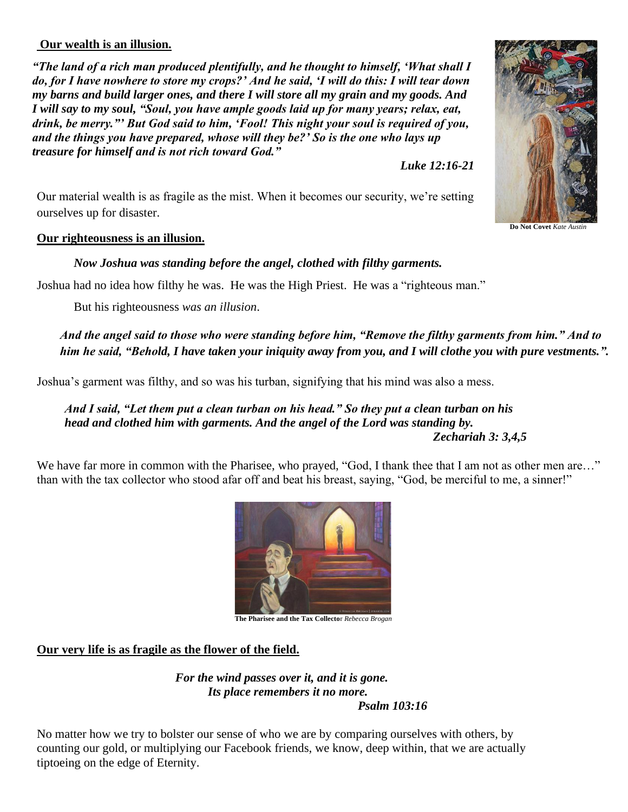### **Our wealth is an illusion.**

*"The land of a rich man produced plentifully, and he thought to himself, 'What shall I do, for I have nowhere to store my crops?' And he said, 'I will do this: I will tear down my barns and build larger ones, and there I will store all my grain and my goods. And I will say to my soul, "Soul, you have ample goods laid up for many years; relax, eat, drink, be merry."' But God said to him, 'Fool! This night your soul is required of you, and the things you have prepared, whose will they be?' So is the one who lays up treasure for himself and is not rich toward God."* 

*Luke 12:16-21*

Our material wealth is as fragile as the mist. When it becomes our security, we're setting ourselves up for disaster.

#### **Our righteousness is an illusion.**

*Now Joshua was standing before the angel, clothed with filthy garments.*

Joshua had no idea how filthy he was. He was the High Priest. He was a "righteous man."

But his righteousness *was an illusion*.

*And the angel said to those who were standing before him, "Remove the filthy garments from him." And to him he said, "Behold, I have taken your iniquity away from you, and I will clothe you with pure vestments.".*

Joshua's garment was filthy, and so was his turban, signifying that his mind was also a mess.

#### *And I said, "Let them put a clean turban on his head." So they put a clean turban on his head and clothed him with garments. And the angel of the Lord was standing by. Zechariah 3: 3,4,5*

We have far more in common with the Pharisee, who prayed, "God, I thank thee that I am not as other men are..." than with the tax collector who stood afar off and beat his breast, saying, "God, be merciful to me, a sinner!"



**The Pharisee and the Tax Collecto**r *Rebecca Brogan*

## **Our very life is as fragile as the flower of the field.**

*For the wind passes over it, and it is gone. Its place remembers it no more. Psalm 103:16*

No matter how we try to bolster our sense of who we are by comparing ourselves with others, by counting our gold, or multiplying our Facebook friends, we know, deep within, that we are actually tiptoeing on the edge of Eternity.



**Do Not Covet** *Kate Austi*n